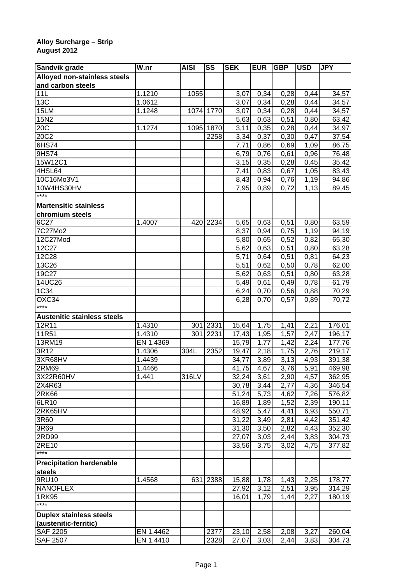## **Alloy Surcharge – Strip August 2012**

| Sandvik grade                      | $\overline{\mathsf{W}}$ .nr | <b>AISI</b> | SS        | <b>SEK</b>         | <b>EUR</b> | <b>GBP</b> | <b>USD</b>        | <b>JPY</b> |
|------------------------------------|-----------------------------|-------------|-----------|--------------------|------------|------------|-------------------|------------|
| Alloyed non-stainless steels       |                             |             |           |                    |            |            |                   |            |
| and carbon steels                  |                             |             |           |                    |            |            |                   |            |
| 11L                                | 1.1210                      | 1055        |           | 3,07               | 0,34       | 0,28       | 0,44              | 34,57      |
| 13C                                | 1.0612                      |             |           | 3,07               | 0,34       | 0,28       | 0,44              | 34,57      |
| 15LM                               | 1.1248                      |             | 1074 1770 | 3,07               | 0,34       | 0,28       | 0,44              | 34,57      |
| 15N2                               |                             |             |           | 5,63               | 0,63       | 0,51       | 0,80              | 63,42      |
| 20C                                | 1.1274                      | 1095        | 1870      | 3,11               | 0,35       | 0,28       | 0,44              | 34,97      |
| 20C2                               |                             |             | 2258      | 3,34               | 0,37       | 0,30       | 0,47              | 37,54      |
| 6HS74                              |                             |             |           | 7,71               | 0,86       | 0,69       | 1,09              | 86,75      |
| 9HS74                              |                             |             |           | 6,79               | 0,76       | 0,61       | 0,96              | 76,48      |
| 15W12C1                            |                             |             |           | 3,15               | 0,35       | 0,28       | 0,45              | 35,42      |
| 4HSL64                             |                             |             |           | 7,41               | 0,83       | 0,67       | 1,05              | 83,43      |
| 10C16Mo3V1                         |                             |             |           | 8,43               | 0,94       | 0,76       | 1,19              | 94,86      |
| 10W4HS30HV                         |                             |             |           | 7,95               | 0,89       | 0,72       | 1,13              | 89,45      |
| ****                               |                             |             |           |                    |            |            |                   |            |
| <b>Martensitic stainless</b>       |                             |             |           |                    |            |            |                   |            |
| chromium steels                    |                             |             |           |                    |            |            |                   |            |
| 6C27                               | 1.4007                      | 420         | 2234      | 5,65               | 0,63       | 0,51       | 0,80              | 63,59      |
| 7C27Mo2                            |                             |             |           | 8,37               | 0,94       | 0,75       | 1,19              | 94,19      |
| 12C27Mod                           |                             |             |           | 5,80               | 0,65       | 0,52       | 0,82              | 65,30      |
| 12C27                              |                             |             |           | 5,62               | 0,63       | 0,51       | 0,80              | 63,28      |
| 12C28                              |                             |             |           | 5,71               | 0,64       | 0,51       | 0,81              | 64,23      |
| 13C26                              |                             |             |           | 5,51               | 0,62       | 0,50       | 0,78              | 62,00      |
| 19C27                              |                             |             |           | 5,62               | 0,63       | 0,51       | 0,80              | 63,28      |
| 14UC26                             |                             |             |           | 5,49               | 0,61       | 0,49       | 0,78              | 61,79      |
| 1C34                               |                             |             |           | 6,24               | 0,70       | 0,56       | 0,88              | 70,29      |
| OXC34                              |                             |             |           | 6,28               | 0,70       | 0,57       | 0,89              | 70,72      |
| ****                               |                             |             |           |                    |            |            |                   |            |
| <b>Austenitic stainless steels</b> |                             |             |           |                    |            |            |                   |            |
| 12R11                              | 1.4310                      | 301         | 2331      | 15,64              | 1,75       | 1,41       | 2,21              | 176,01     |
| 11R51                              | 1.4310                      | 301         | 2231      | 17,43              | 1,95       | 1,57       | 2,47              | 196,17     |
| 13RM19                             | EN 1.4369                   |             |           | 15,79              | 1,77       | 1,42       | 2,24              | 177,76     |
| 3R12                               | 1.4306                      | 304L        | 2352      | 19,47              | 2,18       | 1,75       | 2,76              | 219,17     |
| 3XR68HV                            | 1.4439                      |             |           | 34,77              | 3,89       | 3,13       | 4,93              | 391,38     |
| 2RM69                              | 1.4466                      |             |           | 41,75              | 4,67       | 3,76       | 5,91              | 469,98     |
| 3X22R60HV                          | 1.441                       | 316LV       |           | 32,24              | 3,61       | 2,90       | 4,57              | 362,95     |
| 2X4R63                             |                             |             |           | 30,78              | 3,44       | 2,77       | 4,36              | 346,54     |
| 2R <sub>K66</sub>                  |                             |             |           | $\overline{5}1,24$ | 5,73       | 4,62       | 7,26              | 576,82     |
| 6LR10                              |                             |             |           | 16,89              | 1,89       | 1,52       | $\overline{2,39}$ | 190,11     |
| 2RK65HV                            |                             |             |           | 48,92              | 5,47       | 4,41       | 6,93              | 550,71     |
| 3R60                               |                             |             |           | 31,22              | 3,49       | 2,81       | 4,42              | 351,42     |
| 3R69                               |                             |             |           | 31,30              | 3,50       | 2,82       | 4,43              | 352,30     |
| 2RD99                              |                             |             |           | 27,07              | 3,03       | 2,44       | 3,83              | 304,73     |
| 2RE10                              |                             |             |           | 33,56              | 3,75       | 3,02       | 4,75              | 377,82     |
| $***$                              |                             |             |           |                    |            |            |                   |            |
| <b>Precipitation hardenable</b>    |                             |             |           |                    |            |            |                   |            |
|                                    |                             |             |           |                    |            |            |                   |            |
| steels<br>9RU10                    | 1.4568                      | 631         | 2388      | 15,88              | 1,78       |            | 2,25              | 178,77     |
| <b>NANOFLEX</b>                    |                             |             |           |                    |            | 1,43       |                   |            |
| 1RK95                              |                             |             |           | 27,92              | 3,12       | 2,51       | 3,95              | 314,29     |
| ****                               |                             |             |           | 16,01              | 1,79       | 1,44       | 2,27              | 180,19     |
|                                    |                             |             |           |                    |            |            |                   |            |
| <b>Duplex stainless steels</b>     |                             |             |           |                    |            |            |                   |            |
| (austenitic-ferritic)              |                             |             |           |                    |            |            |                   |            |
| <b>SAF 2205</b>                    | EN 1.4462                   |             | 2377      | 23,10              | 2,58       | 2,08       | 3,27              | 260,04     |
| <b>SAF 2507</b>                    | EN 1.4410                   |             | 2328      | 27,07              | 3,03       | 2,44       | 3,83              | 304,73     |